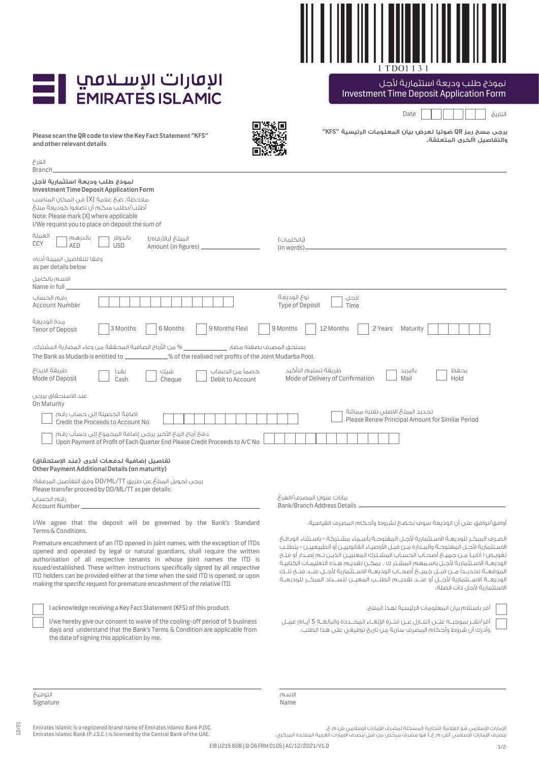

نموذج طلب وديعة استثمارية لأجل

## الإقارات الإسلافيا

| <b>EMIRATES ISLAMIC</b>                                                                                                                                                                                                                                                                                                                                                                                                                                                                                 | Investment Time Deposit Application Form                                                                                                                                                                                                                                                                                                                                                                                                                                                                                                                                                                                                |
|---------------------------------------------------------------------------------------------------------------------------------------------------------------------------------------------------------------------------------------------------------------------------------------------------------------------------------------------------------------------------------------------------------------------------------------------------------------------------------------------------------|-----------------------------------------------------------------------------------------------------------------------------------------------------------------------------------------------------------------------------------------------------------------------------------------------------------------------------------------------------------------------------------------------------------------------------------------------------------------------------------------------------------------------------------------------------------------------------------------------------------------------------------------|
|                                                                                                                                                                                                                                                                                                                                                                                                                                                                                                         | Date<br>التاريخ                                                                                                                                                                                                                                                                                                                                                                                                                                                                                                                                                                                                                         |
| Please scan the QR code to view the Key Fact Statement "KFS"<br>and other relevant details                                                                                                                                                                                                                                                                                                                                                                                                              | يرجى مسح رمز QR ضوئيا لعرض بيان المعلومات الرئيسية "KFS"<br>والتفاصيل األخرى المتعلقة.                                                                                                                                                                                                                                                                                                                                                                                                                                                                                                                                                  |
| الغرع<br><b>Branch</b>                                                                                                                                                                                                                                                                                                                                                                                                                                                                                  |                                                                                                                                                                                                                                                                                                                                                                                                                                                                                                                                                                                                                                         |
| نموذج طلب وديعة استثمارية لأجل<br><b>Investment Time Deposit Application Form</b><br>ملاحظة: ضحَ علامة [X] في المحَان المناسب<br>أطلب/نطلب منكم أن تضعوا كوديعة مبلغ<br>Note: Please mark [X] where applicable<br>I/We request you to place on deposit the sum of                                                                                                                                                                                                                                       |                                                                                                                                                                                                                                                                                                                                                                                                                                                                                                                                                                                                                                         |
| العملة<br>بالدرهم<br>بالحولار<br>المبلغ (بالأرقام)<br>CCY<br><b>AED</b><br><b>USD</b><br>Amount (in figures) _                                                                                                                                                                                                                                                                                                                                                                                          | (بالكلمات)<br>(in words).                                                                                                                                                                                                                                                                                                                                                                                                                                                                                                                                                                                                               |
| وفقا للتفاصيل المبينة أدناه<br>as per details below                                                                                                                                                                                                                                                                                                                                                                                                                                                     |                                                                                                                                                                                                                                                                                                                                                                                                                                                                                                                                                                                                                                         |
| الاسم بالكامل<br>Name in full                                                                                                                                                                                                                                                                                                                                                                                                                                                                           |                                                                                                                                                                                                                                                                                                                                                                                                                                                                                                                                                                                                                                         |
| رقم الحساب<br><b>Account Number</b>                                                                                                                                                                                                                                                                                                                                                                                                                                                                     | نوع الوديعة<br>لاجل<br><b>Type of Deposit</b><br>Time                                                                                                                                                                                                                                                                                                                                                                                                                                                                                                                                                                                   |
| مدة الوديعة<br>3 Months<br>6 Months<br>9 Months Flexi<br><b>Tenor of Deposit</b>                                                                                                                                                                                                                                                                                                                                                                                                                        | 9 Months<br>12 Months<br>2 Years<br>Maturity                                                                                                                                                                                                                                                                                                                                                                                                                                                                                                                                                                                            |
| _ % من الأرباح الصافية المحققة من وعاء المضارية المشترك.<br>يستحق المصرف بصفته مضار _______<br>.% of the realised net profits of the Joint Mudarba Pool.<br>The Bank as Mudarib is entitled to _____________                                                                                                                                                                                                                                                                                            |                                                                                                                                                                                                                                                                                                                                                                                                                                                                                                                                                                                                                                         |
| طريقة الايداع<br>شىك<br>خصمأ من الحساب<br>نقدأ<br>Mode of Deposit<br>Cash<br>Cheque<br>Debit to Account                                                                                                                                                                                                                                                                                                                                                                                                 | طريقة تسليم التأكيد<br>بحفظ<br>بالبريد<br>Mode of Delivery of Confirmation<br>Hold<br>Mail                                                                                                                                                                                                                                                                                                                                                                                                                                                                                                                                              |
| عند الاستحقاق يرجى<br>On Maturity                                                                                                                                                                                                                                                                                                                                                                                                                                                                       |                                                                                                                                                                                                                                                                                                                                                                                                                                                                                                                                                                                                                                         |
| اضافة الحصيلة الى حساب رقم<br>Credit the Proceeds to Account No.                                                                                                                                                                                                                                                                                                                                                                                                                                        | تجديد المبلغ الاصلى لفترة مماثلة<br>Please Renew Principal Amount for Similar Period                                                                                                                                                                                                                                                                                                                                                                                                                                                                                                                                                    |
| دفعَ أرباح الربحَ الأخير يرجى إضافة المجموعَ إلى حسأب رقم<br>Upon Payment of Profit of Each Quarter End Please Credit Proceeds to A/C No.                                                                                                                                                                                                                                                                                                                                                               |                                                                                                                                                                                                                                                                                                                                                                                                                                                                                                                                                                                                                                         |
| تفاصيل إضافية لدفعات أخرى (عند الإستحقاق)<br>Other Payment Additional Details (on maturity)                                                                                                                                                                                                                                                                                                                                                                                                             |                                                                                                                                                                                                                                                                                                                                                                                                                                                                                                                                                                                                                                         |
| يرجى تحويل المبلغ عن طريق DD/ML/TT وفق التفاصيل المرفقة:<br>Please transfer proceed by DD/ML/TT as per details:                                                                                                                                                                                                                                                                                                                                                                                         |                                                                                                                                                                                                                                                                                                                                                                                                                                                                                                                                                                                                                                         |
| رقم الحساب<br>Account Number_                                                                                                                                                                                                                                                                                                                                                                                                                                                                           | بيانات عنوان المصرف/الغرع<br><b>Bank/Branch Address Details</b>                                                                                                                                                                                                                                                                                                                                                                                                                                                                                                                                                                         |
| I/We agree that the deposit will be governed by the Bank's Standard<br>Terms & Conditions.                                                                                                                                                                                                                                                                                                                                                                                                              | أوافق/نوافق على أن الوديعة سوف تخضعَ لشروط وأحكام المصرف القياسية.                                                                                                                                                                                                                                                                                                                                                                                                                                                                                                                                                                      |
| Premature encashment of an ITD opened in joint names, with the exception of ITDs<br>opened and operated by legal or natural guardians, shall require the written<br>authorisation of all respective tenants in whose joint names the ITD is<br>issued/established. These written instructions specifically signed by all respective<br>ITD holders can be provided either at the time when the said ITD is opened, or upon<br>making the specific request for premature encashment of the relative ITD. | الصـرف المبكـر للوديعــة الاســتثمارية لأجــل المفتوحــة بأســماء مشــتركة - باســتثناء الودائــع<br>الاسـتثمارية لأجـل المغتوحـة والمـدارة مـن قبـل الأوصيـاء القانونييـن أو الطبيعييـن - يتطلـب<br>تغويض ا آتابيـا مـن جميــع أصحــاب الحسـاب المشـترك المعنييــن الذيــن تــم إصــدار أو فتــح<br>الوديعــة الاسـتثمارية لأجـل باسـمهـم المشـتر ك . يمكـن تقديـم هـذه التعليمـات الكتابيـة<br>الموقعــة تحديــدا مــن قبــل جميـــع أصحــاب الوديعــة الاســتثمارية لأجــل عنــد فتــح تلــك<br>الوديعـــة الاســـتثمارية لأجـــل أو عنـــد تقديـــم الطلـــب المعيـــن للـســـداد المبكــر للوديعــة<br>الاستثمارية لأحل ذات الصلة. |
| I acknowledge receiving a Key Fact Statement (KFS) of this product.                                                                                                                                                                                                                                                                                                                                                                                                                                     | أقر باستلام بيان المعلومات الرئيسية لهذا المنتج.                                                                                                                                                                                                                                                                                                                                                                                                                                                                                                                                                                                        |
| I/we hereby give our consent to waive of the cooling-off period of 5 business<br>days and understand that the Bank's Terms & Condition are applicable from<br>the date of signing this application by me.                                                                                                                                                                                                                                                                                               | أقر/نقــر بموجبــه علــــى التنـــازل عـــن فتــرة الإلغــاء المحـــددة والبالغــة 5 أيــام عمــل<br>وأدرك أن شروط وأحكام المصرف سارية من تاريخ توقيعي على هذا الطلب.                                                                                                                                                                                                                                                                                                                                                                                                                                                                   |

التوقيع Signature

12/21

الاسم .<br>Name

Emirates Islamic is a registered brand name of Emirates Islamic Bank PJSC. Emirates Islamic Bank (P.J.S.C.) is licensed by the Central Bank of the UAE.